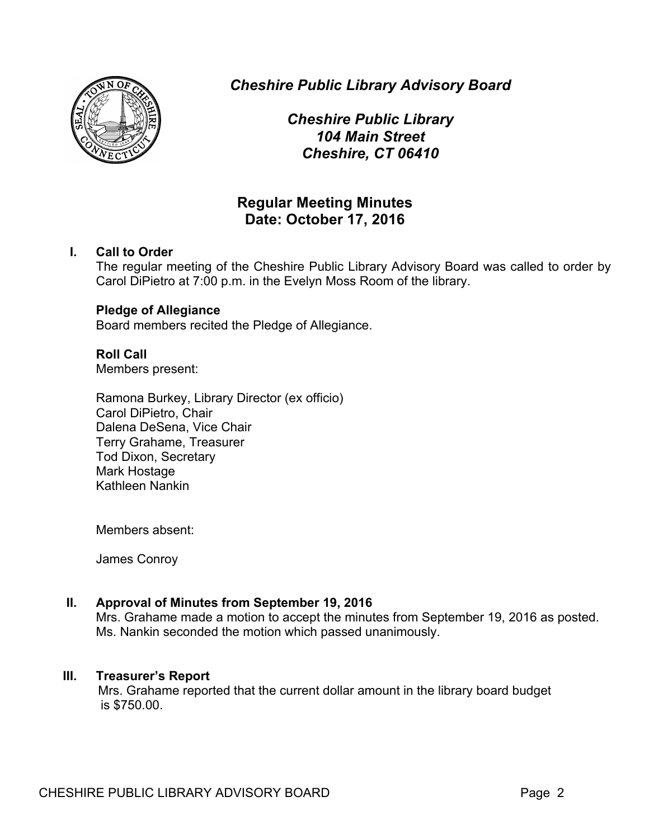

*Cheshire Public Library Advisory Board*

*Cheshire Public Library 104 Main Street Cheshire, CT 06410*

# **Regular Meeting Minutes Date: October 17, 2016**

# **I. Call to Order**

The regular meeting of the Cheshire Public Library Advisory Board was called to order by Carol DiPietro at 7:00 p.m. in the Evelyn Moss Room of the library.

# **Pledge of Allegiance**

Board members recited the Pledge of Allegiance.

# **Roll Call**

Members present:

Ramona Burkey, Library Director (ex officio) Carol DiPietro, Chair Dalena DeSena, Vice Chair Terry Grahame, Treasurer Tod Dixon, Secretary Mark Hostage Kathleen Nankin

Members absent:

James Conroy

# **II. Approval of Minutes from September 19, 2016**

Mrs. Grahame made a motion to accept the minutes from September 19, 2016 as posted. Ms. Nankin seconded the motion which passed unanimously.

# **III. Treasurer's Report**

Mrs. Grahame reported that the current dollar amount in the library board budget is \$750.00.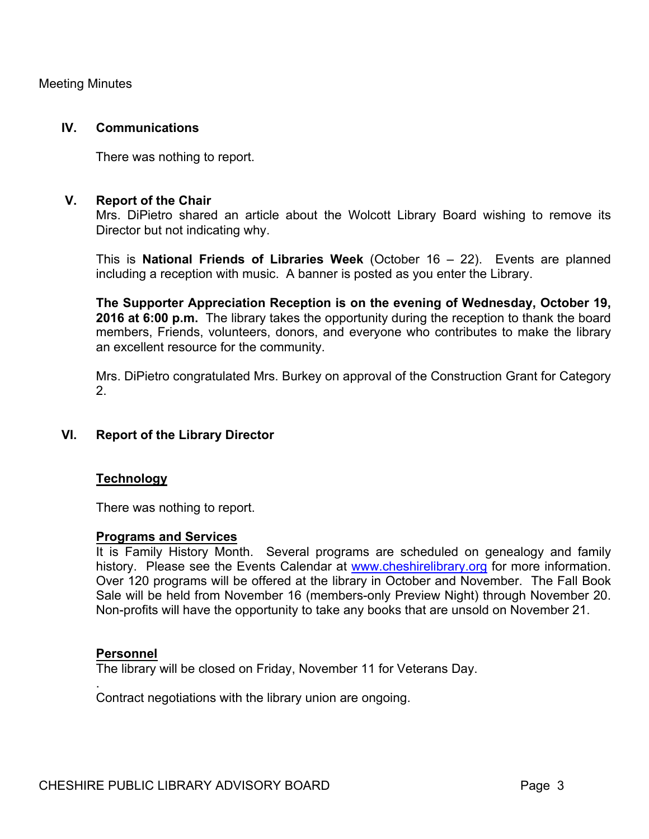Meeting Minutes

#### **IV. Communications**

There was nothing to report.

### **V. Report of the Chair**

Mrs. DiPietro shared an article about the Wolcott Library Board wishing to remove its Director but not indicating why.

This is **National Friends of Libraries Week** (October 16 – 22). Events are planned including a reception with music. A banner is posted as you enter the Library.

**The Supporter Appreciation Reception is on the evening of Wednesday, October 19, 2016 at 6:00 p.m.** The library takes the opportunity during the reception to thank the board members, Friends, volunteers, donors, and everyone who contributes to make the library an excellent resource for the community.

Mrs. DiPietro congratulated Mrs. Burkey on approval of the Construction Grant for Category 2.

# **VI. Report of the Library Director**

#### **Technology**

There was nothing to report.

#### **Programs and Services**

It is Family History Month. Several programs are scheduled on genealogy and family history. Please see the Events Calendar at www.cheshirelibrary.org for more information. Over 120 programs will be offered at the library in October and November. The Fall Book Sale will be held from November 16 (members-only Preview Night) through November 20. Non-profits will have the opportunity to take any books that are unsold on November 21.

#### **Personnel**

.

The library will be closed on Friday, November 11 for Veterans Day.

Contract negotiations with the library union are ongoing.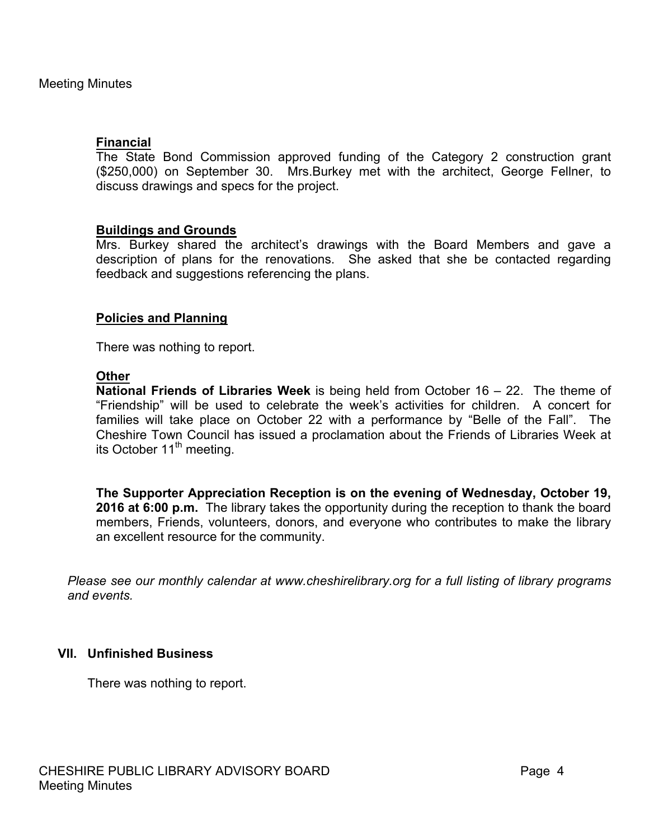### **Financial**

The State Bond Commission approved funding of the Category 2 construction grant (\$250,000) on September 30. Mrs.Burkey met with the architect, George Fellner, to discuss drawings and specs for the project.

### **Buildings and Grounds**

Mrs. Burkey shared the architect's drawings with the Board Members and gave a description of plans for the renovations. She asked that she be contacted regarding feedback and suggestions referencing the plans.

### **Policies and Planning**

There was nothing to report.

#### **Other**

**National Friends of Libraries Week** is being held from October 16 – 22. The theme of "Friendship" will be used to celebrate the week's activities for children. A concert for families will take place on October 22 with a performance by "Belle of the Fall". The Cheshire Town Council has issued a proclamation about the Friends of Libraries Week at its October  $11<sup>th</sup>$  meeting.

**The Supporter Appreciation Reception is on the evening of Wednesday, October 19, 2016 at 6:00 p.m.** The library takes the opportunity during the reception to thank the board members, Friends, volunteers, donors, and everyone who contributes to make the library an excellent resource for the community.

*Please see our monthly calendar at www.cheshirelibrary.org for a full listing of library programs and events.*

# **VII. Unfinished Business**

There was nothing to report.